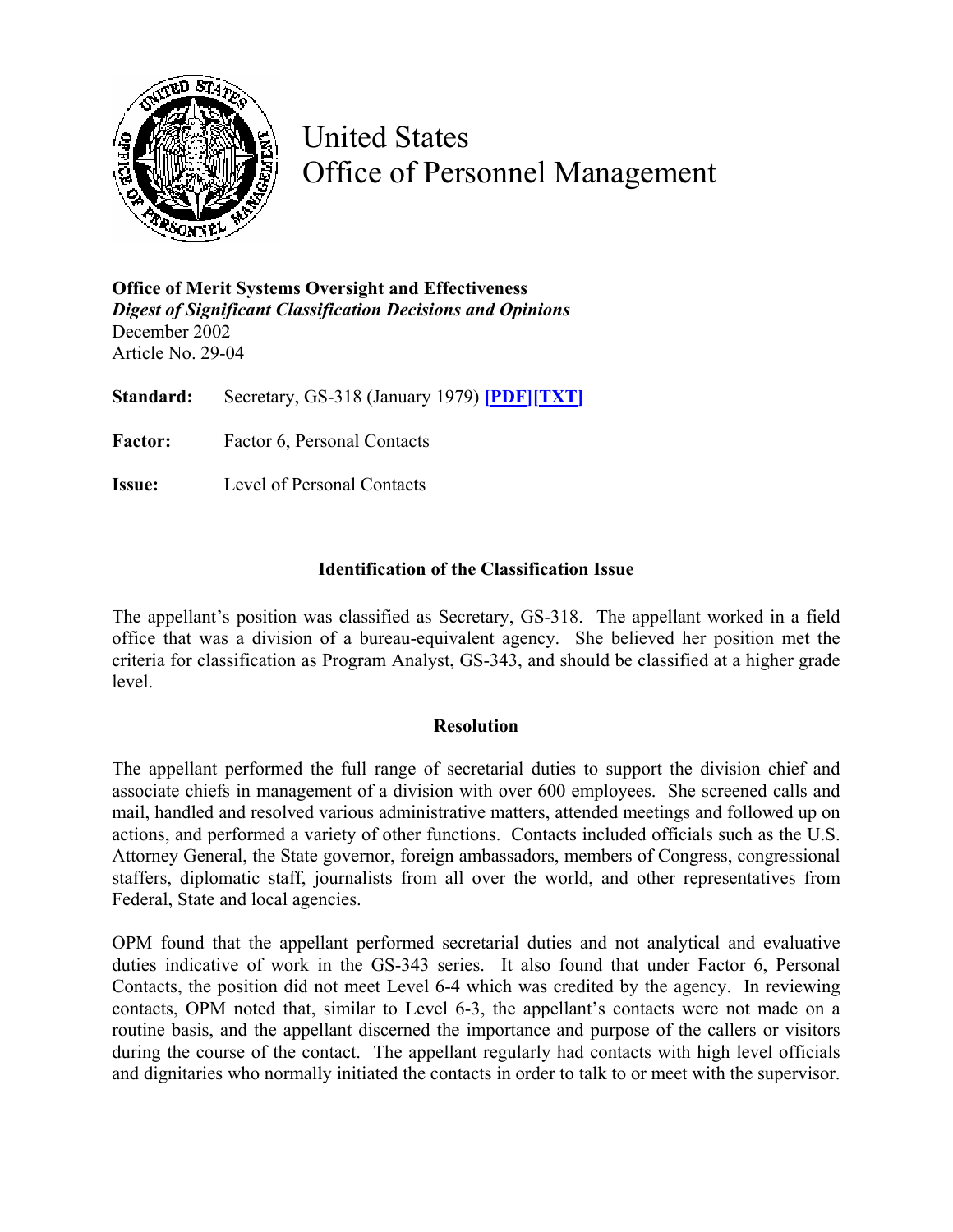

United States Office of Personnel Management

**Office of Merit Systems Oversight and Effectiveness**  *Digest of Significant Classification Decisions and Opinions* December 2002 Article No. 29-04

**Standard:** Secretary, GS-318 (January 1979) **[\[PDF\]](http://www.opm.gov/fedclass/gs0318.pdf)[\[TXT\]](http://www.opm.gov/fedclass/text/gs0318.w51)**

Factor: Factor 6, Personal Contacts

**Issue:** Level of Personal Contacts

## **Identification of the Classification Issue**

The appellant's position was classified as Secretary, GS-318. The appellant worked in a field office that was a division of a bureau-equivalent agency. She believed her position met the criteria for classification as Program Analyst, GS-343, and should be classified at a higher grade level.

## **Resolution**

The appellant performed the full range of secretarial duties to support the division chief and associate chiefs in management of a division with over 600 employees. She screened calls and mail, handled and resolved various administrative matters, attended meetings and followed up on actions, and performed a variety of other functions. Contacts included officials such as the U.S. Attorney General, the State governor, foreign ambassadors, members of Congress, congressional staffers, diplomatic staff, journalists from all over the world, and other representatives from Federal, State and local agencies.

OPM found that the appellant performed secretarial duties and not analytical and evaluative duties indicative of work in the GS-343 series. It also found that under Factor 6, Personal Contacts, the position did not meet Level 6-4 which was credited by the agency. In reviewing contacts, OPM noted that, similar to Level 6-3, the appellant's contacts were not made on a routine basis, and the appellant discerned the importance and purpose of the callers or visitors during the course of the contact. The appellant regularly had contacts with high level officials and dignitaries who normally initiated the contacts in order to talk to or meet with the supervisor.